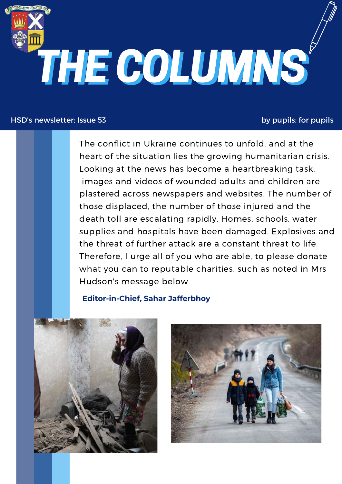

#### HSD's newsletter: Issue 53 by pupils; for pupils

The conflict in Ukraine continues to unfold, and at the heart of the situation lies the growing humanitarian crisis. Looking at the news has become a heartbreaking task; images and videos of wounded adults and children are plastered across newspapers and websites. The number of those displaced, the number of those injured and the death toll are escalating rapidly. Homes, schools, water supplies and hospitals have been damaged. Explosives and the threat of further attack are a constant threat to life. Therefore, I urge all of you who are able, to please donate what you can to reputable charities, such as noted in Mrs Hudson's message below.

#### **Editor-in-Chief, Sahar Jafferbhoy**



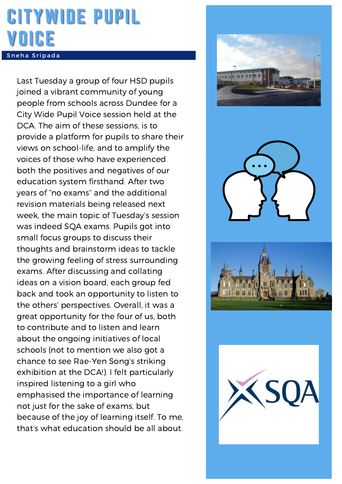### CITYWIDE PUPIL VOICE Sneha S ripada

Last Tuesday a group of four HSD pupils joined a vibrant community of young people from schools across Dundee for a City Wide Pupil Voice session held at the DCA. The aim of these sessions, is to provide a platform for pupils to share their views on school-life, and to amplify the voices of those who have experienced both the positives and negatives of our education system firsthand. After two years of "no exams" and the additional revision materials being released next week, the main topic of Tuesday's session was indeed SQA exams. Pupils got into small focus groups to discuss their thoughts and brainstorm ideas to tackle the growing feeling of stress surrounding exams. After discussing and collating ideas on a vision board, each group fed back and took an opportunity to listen to the others' perspectives. Overall, it was a great opportunity for the four of us, both to contribute and to listen and learn about the ongoing initiatives of local schools (not to mention we also got a chance to see Rae-Yen Song's striking exhibition at the DCA!). I felt particularly inspired listening to a girl who emphasised the importance of learning not just for the sake of exams, but because of the joy of learning itself. To me, that's what education should be all about.





Disney +



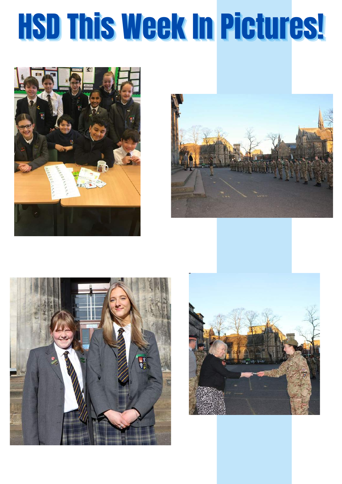# HSD This Week In Pictures!







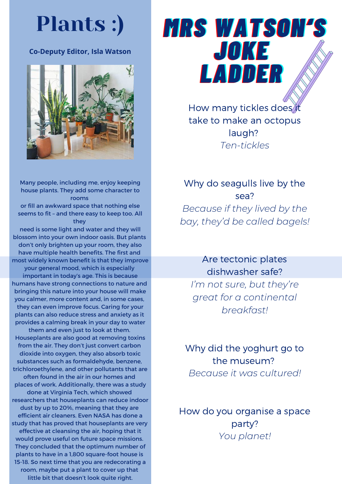### Plants :)

#### **Co-Deputy Editor, Isla Watson**



Many people, including me, enjoy keeping house plants. They add some character to rooms

or fill an awkward space that nothing else seems to fit – and there easy to keep too. All they

need is some light and water and they will blossom into your own indoor oasis. But plants don't only brighten up your room, they also have multiple health benefits. The first and most widely known benefit is that they improve your general mood, which is especially important in today's age. This is because humans have strong connections to nature and bringing this nature into your house will make you calmer, more content and, in some cases, they can even improve focus. Caring for your plants can also reduce stress and anxiety as it provides a calming break in your day to water them and even just to look at them. Houseplants are also good at removing toxins from the air. They don't just convert carbon dioxide into oxygen, they also absorb toxic substances such as formaldehyde, benzene, trichloroethylene, and other pollutants that are often found in the air in our homes and places of work. Additionally, there was a study done at Virginia Tech, which showed researchers that houseplants can reduce indoor dust by up to 20%, meaning that they are efficient air cleaners. Even NASA has done a study that has proved that houseplants are very effective at cleansing the air, hoping that it would prove useful on future space missions. They concluded that the optimum number of plants to have in a 1,800 square-foot house is 15-18. So next time that you are redecorating a room, maybe put a plant to cover up that little bit that doesn't look quite right.

## *MMRRSS WWAATTSSOONN''SS JOKE LLAADDDDEERR*

How many tickles does it take to make an octopus laugh? *Ten-tickles*

Why do seagulls live by the sea? *Because if they lived by the bay, they'd be called bagels!*

Are tectonic plates dishwasher safe? *I'm not sure, but they're great for a continental breakfast!*

Why did the yoghurt go to the museum? *Because it was cultured!*

How do you organise a space party? *You planet!*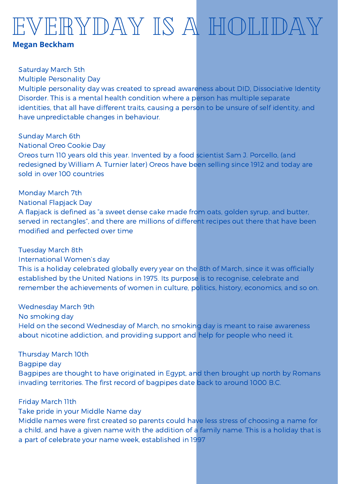## VERYDAY IS A HOLIDAY

#### **Megan Beckham**

Saturday March 5th

Multiple Personality Day

Multiple personality day was created to spread awareness about DID, Dissociative Identity Disorder. This is a mental health condition where a person has multiple separate identities, that all have different traits, causing a person to be unsure of self identity, and have unpredictable changes in behaviour.

Sunday March 6th

National Oreo Cookie Day

Oreos turn 110 years old this year. Invented by a food scientist Sam J. Porcello, (and redesigned by William A. Turnier later) Oreos have been selling since 1912 and today are sold in over 100 countries

Monday March 7th

National Flapjack Day

A flapjack is defined as "a sweet dense cake made from oats, golden syrup, and butter, served in rectangles", and there are millions of different recipes out there that have been modified and perfected over time

Tuesday March 8th

International Women's day

This is a holiday celebrated globally every year on the 8th of March, since it was officially established by the United Nations in 1975. Its purpose is to recognise, celebrate and remember the achievements of women in culture, politics, history, economics, and so on.

Wednesday March 9th

No smoking day

Held on the second Wednesday of March, no smoking day is meant to raise awareness about nicotine addiction, and providing support and help for people who need it.

Thursday March 10th

Bagpipe day

Bagpipes are thought to have originated in Egypt, and then brought up north by Romans invading territories. The first record of bagpipes date back to around 1000 B.C.

Friday March 11th

Take pride in your Middle Name day

Middle names were first created so parents could have less stress of choosing a name for a child, and have a given name with the addition of a family name. This is a holiday that is a part of celebrate your name week, established in 1997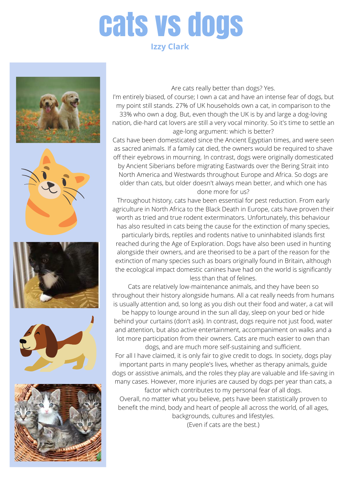### cats vs dogs **Izzy Clark**











Are cats really better than dogs? Yes.

I'm entirely biased, of course; I own a cat and have an intense fear of dogs, but my point still stands. 27% of UK households own a cat, in comparison to the

33% who own a dog. But, even though the UK is by and large a dog-loving nation, die-hard cat lovers are still a very vocal minority. So it's time to settle an age-long argument: which is better?

Cats have been domesticated since the Ancient Egyptian times, and were seen as sacred animals. If a family cat died, the owners would be required to shave off their eyebrows in mourning. In contrast, dogs were originally domesticated by Ancient Siberians before migrating Eastwards over the Bering Strait into North America and Westwards throughout Europe and Africa. So dogs are older than cats, but older doesn't always mean better, and which one has done more for us?

Throughout history, cats have been essential for pest reduction. From early agriculture in North Africa to the Black Death in Europe, cats have proven their worth as tried and true rodent exterminators. Unfortunately, this behaviour has also resulted in cats being the cause for the extinction of many species,

particularly birds, reptiles and rodents native to uninhabited islands first reached during the Age of Exploration. Dogs have also been used in hunting alongside their owners, and are theorised to be a part of the reason for the extinction of many species such as boars originally found in Britain, although the ecological impact domestic canines have had on the world is significantly less than that of felines.

Cats are relatively low-maintenance animals, and they have been so throughout their history alongside humans. All a cat really needs from humans is usually attention and, so long as you dish out their food and water, a cat will

be happy to lounge around in the sun all day, sleep on your bed or hide behind your curtains (don't ask). In contrast, dogs require not just food, water and attention, but also active entertainment, accompaniment on walks and a lot more participation from their owners. Cats are much easier to own than

dogs, and are much more self-sustaining and sufficient. For all I have claimed, it is only fair to give credit to dogs. In society, dogs play important parts in many people's lives, whether as therapy animals, guide dogs or assistive animals, and the roles they play are valuable and life-saving in many cases. However, more injuries are caused by dogs per year than cats, a

factor which contributes to my personal fear of all dogs. Overall, no matter what you believe, pets have been statistically proven to benefit the mind, body and heart of people all across the world, of all ages,

backgrounds, cultures and lifestyles. (Even if cats are the best.)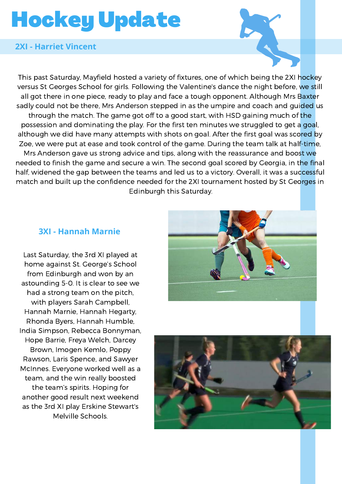## Hockey Update

#### **2XI - Harriet Vincent**

This past Saturday, Mayfield hosted a variety of fixtures, one of which being the 2XI hockey versus St Georges School for girls. Following the Valentine's dance the night before, we still all got there in one piece, ready to play and face a tough opponent. Although Mrs Baxter sadly could not be there, Mrs Anderson stepped in as the umpire and coach and guided us through the match. The game got off to a good start, with HSD gaining much of the possession and dominating the play. For the first ten minutes we struggled to get a goal, although we did have many attempts with shots on goal. After the first goal was scored by Zoe, we were put at ease and took control of the game. During the team talk at half-time, Mrs Anderson gave us strong advice and tips, along with the reassurance and boost we needed to finish the game and secure a win. The second goal scored by Georgia, in the final half, widened the gap between the teams and led us to a victory. Overall, it was a successful match and built up the confidence needed for the 2XI tournament hosted by St Georges in Edinburgh this Saturday.

#### **3XI - Hannah Marnie**

Last Saturday, the 3rd XI played at home against St. George's School from Edinburgh and won by an astounding 5-0. It is clear to see we had a strong team on the pitch, with players Sarah Campbell, Hannah Marnie, Hannah Hegarty, Rhonda Byers, Hannah Humble, India Simpson, Rebecca Bonnyman, Hope Barrie, Freya Welch, Darcey Brown, Imogen Kemlo, Poppy Rawson, Laris Spence, and Sawyer McInnes. Everyone worked well as a team, and the win really boosted the team's spirits. Hoping for another good result next weekend as the 3rd XI play Erskine Stewart's Melville Schools.



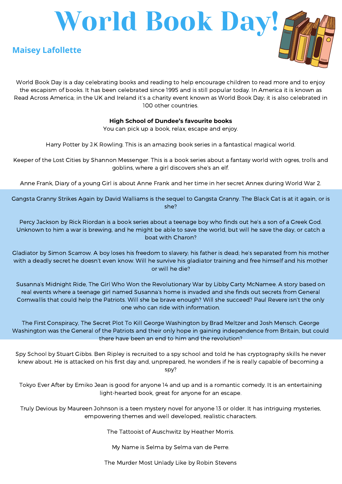

World Book Day is a day celebrating books and reading to help encourage children to read more and to enjoy the escapism of books. It has been celebrated since 1995 and is still popular today. In America it is known as Read Across America; in the UK and Ireland it's a charity event known as World Book Day; it is also celebrated in 100 other countries.

#### **High School of Dundee's favourite books**

You can pick up a book, relax, escape and enjoy.

Harry Potter by J.K Rowling. This is an amazing book series in a fantastical magical world.

Keeper of the Lost Cities by Shannon Messenger. This is a book series about a fantasy world with ogres, trolls and goblins, where a girl discovers she's an elf.

Anne Frank, Diary of a young Girl is about Anne Frank and her time in her secret Annex during World War 2.

Gangsta Granny Strikes Again by David Walliams is the sequel to Gangsta Granny. The Black Cat is at it again, or is she?

Percy Jackson by Rick Riordan is a book series about a teenage boy who finds out he's a son of a Greek God. Unknown to him a war is brewing, and he might be able to save the world, but will he save the day, or catch a boat with Charon?

Gladiator by Simon Scarrow. A boy loses his freedom to slavery; his father is dead; he's separated from his mother with a deadly secret he doesn't even know. Will he survive his gladiator training and free himself and his mother or will he die?

Susanna's Midnight Ride, The Girl Who Won the Revolutionary War by Libby Carty McNamee. A story based on real events where a teenage girl named Susanna's home is invaded and she finds out secrets from General Cornwallis that could help the Patriots. Will she be brave enough? Will she succeed? Paul Revere isn't the only one who can ride with information.

The First Conspiracy, The Secret Plot To Kill George Washington by Brad Meltzer and Josh Mensch. George Washington was the General of the Patriots and their only hope in gaining independence from Britain, but could there have been an end to him and the revolution?

Spy School by Stuart Gibbs. Ben Ripley is recruited to a spy school and told he has cryptography skills he never knew about. He is attacked on his first day and, unprepared, he wonders if he is really capable of becoming a spy?

Tokyo Ever After by Emiko Jean is good for anyone 14 and up and is a romantic comedy. It is an entertaining light-hearted book, great for anyone for an escape.

Truly Devious by Maureen Johnson is a teen mystery novel for anyone 13 or older. It has intriguing mysteries, empowering themes and well developed, realistic characters.

The Tattooist of Auschwitz by Heather Morris.

My Name is Selma by Selma van de Perre.

The Murder Most Unlady Like by Robin Stevens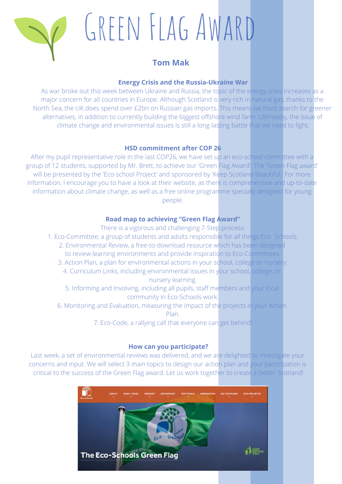

## GREEN FLAG AWARD

#### **Tom Mak**

#### **Energy Crisis and the Russia-Ukraine War**

As war broke out this week between Ukraine and Russia, the topic of the energy crisis increases as a major concern for all countries in Europe. Although Scotland is very rich in natural gas, thanks to the North Sea, the UK does spend over £2bn on Russian gas imports. This means we must search for greener alternatives, in addition to currently building the biggest offshore wind farm. Ultimately, the issue of climate change and environmental issues is still a long-lasting battle that we need to fight.

#### **HSD commitment after COP 26**

After my pupil representative role in the last COP26, we have set up an eco-school committee with a group of 12 students, supported by Mr. Brett, to achieve our 'Green Flag Award'. The 'Green Flag award' will be presented by the 'Eco-school Project' and sponsored by 'Keep Scotland Beautiful.' For more information, I encourage you to have a look at their website, as there is comprehensive and up-to-date information about climate change, as well as a free online programme specially designed for young people.

#### **Road map to achieving "Green Flag Award"**

There is a vigorous and challenging 7-Step process:

- 1. Eco-Committee, a group of students and adults responsible for all things Eco Schools.
	- 2. Environmental Review, a free-to-download resource which has been designed to review learning environments and provide inspiration to Eco-Committees.
	- 3. Action Plan, a plan for environmental actions in your school, college or nursery. 4. Curriculum Links, including environmental issues in your school, college, or nursery learning.

5. Informing and Involving, including all pupils, staff members and your local community in Eco-Schools work.

- 6. Monitoring and Evaluation, measuring the impact of the projects in your Action Plan.
	- 7. Eco-Code, a rallying call that everyone can get behind!

#### **How can you participate?**

Last week, a set of environmental reviews was delivered, and we are delighted to investigate your concerns and input. We will select 3 main topics to design our action plan and your participation is critical to the success of the Green Flag award. Let us work together to create a better Scotland!

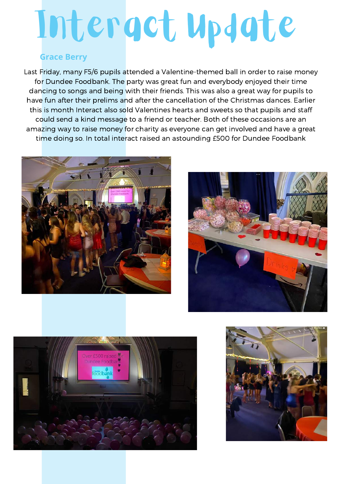# Interact Update

#### **Grace Berry**

Last Friday, many F5/6 pupils attended a Valentine-themed ball in order to raise money for Dundee Foodbank. The party was great fun and everybody enjoyed their time dancing to songs and being with their friends. This was also a great way for pupils to have fun after their prelims and after the cancellation of the Christmas dances. Earlier this is month Interact also sold Valentines hearts and sweets so that pupils and staff could send a kind message to a friend or teacher. Both of these occasions are an amazing way to raise money for charity as everyone can get involved and have a great time doing so. In total interact raised an astounding £500 for Dundee Foodbank







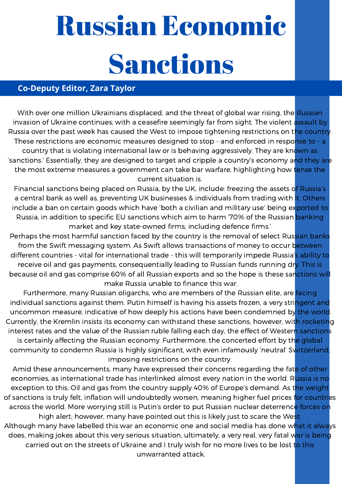## Russian Economic Sanctions

#### **Co-Deputy Editor, Zara Taylor**

With over one million Ukrainians displaced, and the threat of global war rising, the Russian invasion of Ukraine continues; with a ceasefire seemingly far from sight. The violent assault by Russia over the past week has caused the West to impose tightening restrictions on the country. These restrictions are economic measures designed to stop - and enforced in response to - a country that is violating international law or is behaving aggressively. They are known as 'sanctions.' Essentially, they are designed to target and cripple a country's economy and they are the most extreme measures a government can take bar warfare, highlighting how tense the current situation is.

Financial sanctions being placed on Russia, by the UK, include: freezing the assets of Russia's a central bank as well as, preventing UK businesses & individuals from trading with it. Others include a ban on certain goods which have 'both a civilian and military use' being exported to Russia, in addition to specific EU sanctions which aim to harm '70% of the Russian banking market and key state-owned firms, including defence firms.'

Perhaps the most harmful sanction faced by the country is the removal of select Russian banks from the Swift messaging system. As Swift allows transactions of money to occur between different countries - vital for international trade - this will temporarily impede Russia's ability to receive oil and gas payments, consequentially leading to Russian funds running dry. This is because oil and gas comprise 60% of all Russian exports and so the hope is these sanctions will make Russia unable to finance this war.

Furthermore, many Russian oligarchs, who are members of the Russian elite, are facing individual sanctions against them. Putin himself is having his assets frozen, a very stringent and uncommon measure, indicative of how deeply his actions have been condemned by the world. Currently, the Kremlin insists its economy can withstand these sanctions; however, with rocketing interest rates and the value of the Russian ruble falling each day, the effect of Western sanctions is certainly affecting the Russian economy. Furthermore, the concerted effort by the global community to condemn Russia is highly significant, with even infamously 'neutral' Switzerland imposing restrictions on the country.

Amid these announcements, many have expressed their concerns regarding the fate of other economies, as international trade has interlinked almost every nation in the world. Russia is no exception to this; Oil and gas from the country supply 40% of Europe's demand. As the weight of sanctions is truly felt, inflation will undoubtedly worsen, meaning higher fuel prices for countries across the world. More worrying still is Putin's order to put Russian nuclear deterrence forces on high alert; however, many have pointed out this is likely just to scare the West. Although many have labelled this war an economic one and social media has done what it always does, making jokes about this very serious situation, ultimately, a very real, very fatal war is being

carried out on the streets of Ukraine and I truly wish for no more lives to be lost to this unwarranted attack.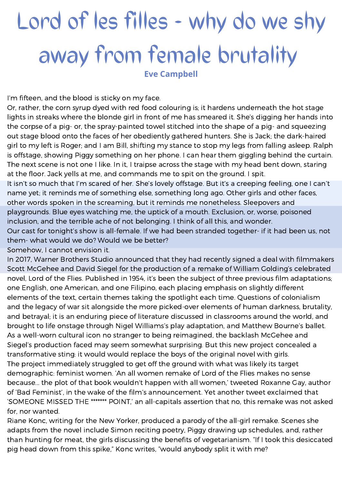## **Lord of les filles - why do we shy away from female brutality**

**Eve Campbell**

I'm fifteen, and the blood is sticky on my face.

Or, rather, the corn syrup dyed with red food colouring is; it hardens underneath the hot stage lights in streaks where the blonde girl in front of me has smeared it. She's digging her hands into the corpse of a pig- or, the spray-painted towel stitched into the shape of a pig- and squeezing out stage blood onto the faces of her obediently gathered hunters. She is Jack; the dark-haired girl to my left is Roger; and I am Bill, shifting my stance to stop my legs from falling asleep. Ralph is offstage, showing Piggy something on her phone. I can hear them giggling behind the curtain. The next scene is not one I like. In it, I traipse across the stage with my head bent down, staring at the floor. Jack yells at me, and commands me to spit on the ground. I spit.

It isn't so much that I'm scared of her. She's lovely offstage. But it's a creeping feeling, one I can't name yet; it reminds me of something else, something long ago. Other girls and other faces, other words spoken in the screaming, but it reminds me nonetheless. Sleepovers and playgrounds. Blue eyes watching me, the uptick of a mouth. Exclusion, or, worse, poisoned inclusion, and the terrible ache of not belonging. I think of all this, and wonder.

Our cast for tonight's show is all-female. If we had been stranded together- if it had been us, not them- what would we do? Would we be better?

Somehow, I cannot envision it.

In 2017, Warner Brothers Studio announced that they had recently signed a deal with filmmakers Scott McGehee and David Siegel for the production of a remake of William Golding's celebrated novel, Lord of the Flies. Published in 1954, it's been the subject of three previous film adaptations; one English, one American, and one Filipino, each placing emphasis on slightly different elements of the text, certain themes taking the spotlight each time. Questions of colonialism and the legacy of war sit alongside the more picked-over elements of human darkness, brutality, and betrayal; it is an enduring piece of literature discussed in classrooms around the world, and brought to life onstage through Nigel Williams's play adaptation, and Matthew Bourne's ballet. As a well-worn cultural icon no stranger to being reimagined, the backlash McGehee and Siegel's production faced may seem somewhat surprising. But this new project concealed a transformative sting: it would would replace the boys of the original novel with girls. The project immediately struggled to get off the ground with what was likely its target demographic: feminist women. 'An all women remake of Lord of the Flies makes no sense because... the plot of that book wouldn't happen with all women,' tweeted Roxanne Gay, author of 'Bad Feminist', in the wake of the film's announcement. Yet another tweet exclaimed that 'SOMEONE MISSED THE \*\*\*\*\*\*\* POINT,' an all-capitals assertion that no, this remake was not asked for, nor wanted.

Riane Konc, writing for the New Yorker, produced a parody of the all-girl remake. Scenes she adapts from the novel include Simon reciting poetry, Piggy drawing up schedules, and, rather than hunting for meat, the girls discussing the benefits of vegetarianism. "If I took this desiccated pig head down from this spike," Konc writes, "would anybody split it with me?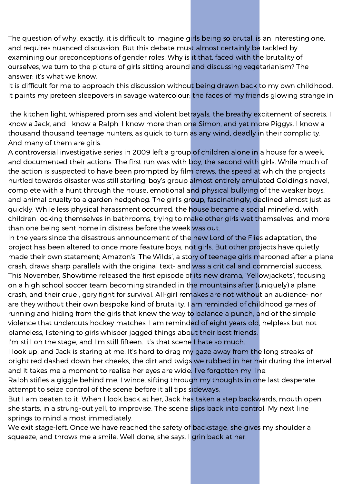The question of why, exactly, it is difficult to imagine girls being so brutal, is an interesting one, and requires nuanced discussion. But this debate must almost certainly be tackled by examining our preconceptions of gender roles. Why is it that, faced with the brutality of ourselves, we turn to the picture of girls sitting around and discussing vegetarianism? The answer: it's what we know.

It is difficult for me to approach this discussion without being drawn back to my own childhood. It paints my preteen sleepovers in savage watercolour; the faces of my friends glowing strange in

the kitchen light, whispered promises and violent betrayals, the breathy excitement of secrets. I know a Jack, and I know a Ralph. I know more than one Simon, and yet more Piggys. I know a thousand thousand teenage hunters, as quick to turn as any wind, deadly in their complicity. And many of them are girls.

A controversial investigative series in 2009 left a group of children alone in a house for a week, and documented their actions. The first run was with boy, the second with girls. While much of the action is suspected to have been prompted by film crews, the speed at which the projects hurtled towards disaster was still starling; boy's group almost entirely emulated Golding's novel, complete with a hunt through the house, emotional and physical bullying of the weaker boys, and animal cruelty to a garden hedgehog. The girl's group, fascinatingly, declined almost just as quickly. While less physical harassment occurred, the house became a social minefield, with children locking themselves in bathrooms, trying to make other girls wet themselves, and more than one being sent home in distress before the week was out.

In the years since the disastrous announcement of the new Lord of the Flies adaptation, the project has been altered to once more feature boys, not girls. But other projects have quietly made their own statement; Amazon's 'The Wilds', a story of teenage girls marooned after a plane crash, draws sharp parallels with the original text- and was a critical and commercial success. This November, Showtime released the first episode of its new drama, 'Yellowjackets', focusing on a high school soccer team becoming stranded in the mountains after (uniquely) a plane crash, and their cruel, gory fight for survival. All-girl remakes are not without an audience- nor are they without their own bespoke kind of brutality. I am reminded of childhood games of running and hiding from the girls that knew the way to balance a punch, and of the simple violence that undercuts hockey matches. I am reminded of eight years old, helpless but not blameless, listening to girls whisper jagged things about their best friends.

I'm still on the stage, and I'm still fifteen. It's that scene I hate so much.

I look up, and Jack is staring at me. It's hard to drag my gaze away from the long streaks of bright red dashed down her cheeks, the dirt and twigs we rubbed in her hair during the interval, and it takes me a moment to realise her eyes are wide. I've forgotten my line.

Ralph stifles a giggle behind me. I wince, sifting through my thoughts in one last desperate attempt to seize control of the scene before it all tips sideways.

But I am beaten to it. When I look back at her, Jack has taken a step backwards, mouth open; she starts, in a strung-out yell, to improvise. The scene slips back into control. My next line springs to mind almost immediately.

We exit stage-left. Once we have reached the safety of backstage, she gives my shoulder a squeeze, and throws me a smile. Well done, she says. I grin back at her.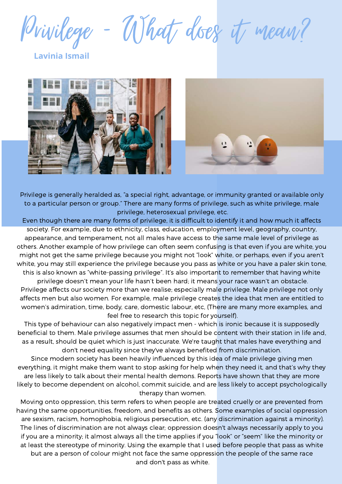Privilege - What does it mean?

**Lavinia Ismail**





Privilege is generally heralded as, "a special right, advantage, or immunity granted or available only to a particular person or group." There are many forms of privilege, such as white privilege, male privilege, heterosexual privilege, etc.

Even though there are many forms of privilege, it is difficult to identify it and how much it affects society. For example, due to ethnicity, class, education, employment level, geography, country, appearance, and temperament, not all males have access to the same male level of privilege as others. Another example of how privilege can often seem confusing is that even if you are white, you might not get the same privilege because you might not "look" white, or perhaps, even if you aren't white, you may still experience the privilege because you pass as white or you have a paler skin tone, this is also known as "white-passing privilege". It's also important to remember that having white privilege doesn't mean your life hasn't been hard; it means your race wasn't an obstacle.

Privilege affects our society more than we realise; especially male privilege. Male privilege not only affects men but also women. For example, male privilege creates the idea that men are entitled to women's admiration, time, body, care, domestic labour, etc, (There are many more examples, and feel free to research this topic for yourself).

This type of behaviour can also negatively impact men - which is ironic because it is supposedly beneficial to them. Male privilege assumes that men should be content with their station in life and, as a result, should be quiet which is just inaccurate. We're taught that males have everything and don't need equality since they've always benefited from discrimination.

Since modern society has been heavily influenced by this idea of male privilege giving men everything, it might make them want to stop asking for help when they need it, and that's why they are less likely to talk about their mental health demons. Reports have shown that they are more likely to become dependent on alcohol, commit suicide, and are less likely to accept psychologically therapy than women.

Moving onto oppression, this term refers to when people are treated cruelly or are prevented from having the same opportunities, freedom, and benefits as others. Some examples of social oppression are sexism, racism, homophobia, religious persecution, etc. (any discrimination against a minority). The lines of discrimination are not always clear; oppression doesn't always necessarily apply to you if you are a minority; it almost always all the time applies if you "look" or "seem" like the minority or at least the stereotype of minority. Using the example that I used before people that pass as white but are a person of colour might not face the same oppression the people of the same race and don't pass as white.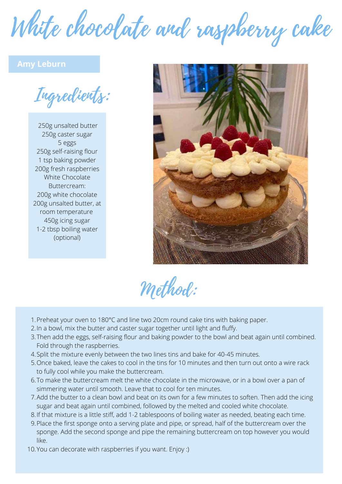White chocolate and raspberry cake

#### **Amy Leburn**

Ingredients:

250g unsalted butter 250g caster sugar 5 eggs 250g self-raising flour 1 tsp baking powder 200g fresh raspberries White Chocolate Buttercream: 200g white chocolate 200g unsalted butter, at room temperature 450g icing sugar 1-2 tbsp boiling water (optional)



Method:

- 1. Preheat your oven to 180°C and line two 20cm round cake tins with baking paper.
- 2.In a bowl, mix the butter and caster sugar together until light and fluffy.
- 3.Then add the eggs, self-raising flour and baking powder to the bowl and beat again until combined. Fold through the raspberries.
- 4. Split the mixture evenly between the two lines tins and bake for 40-45 minutes.
- Once baked, leave the cakes to cool in the tins for 10 minutes and then turn out onto a wire rack 5. to fully cool while you make the buttercream.
- 6.To make the buttercream melt the white chocolate in the microwave, or in a bowl over a pan of simmering water until smooth. Leave that to cool for ten minutes.
- Add the butter to a clean bowl and beat on its own for a few minutes to soften. Then add the icing 7. sugar and beat again until combined, followed by the melted and cooled white chocolate.
- If that mixture is a little stiff, add 1-2 tablespoons of boiling water as needed, beating each time. 8.
- Place the first sponge onto a serving plate and pipe, or spread, half of the buttercream over the 9. sponge. Add the second sponge and pipe the remaining buttercream on top however you would like.
- 10. You can decorate with raspberries if you want. Enjoy :)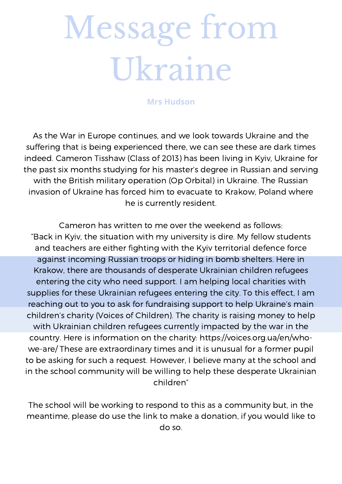# Message from Ukraine

#### **Mrs Hudson**

As the War in Europe continues, and we look towards Ukraine and the suffering that is being experienced there, we can see these are dark times indeed. Cameron Tisshaw (Class of 2013) has been living in Kyiv, Ukraine for the past six months studying for his master's degree in Russian and serving with the British military operation (Op Orbital) in Ukraine. The Russian invasion of Ukraine has forced him to evacuate to Krakow, Poland where he is currently resident.

Cameron has written to me over the weekend as follows: "Back in Kyiv, the situation with my university is dire. My fellow students and teachers are either fighting with the Kyiv territorial defence force against incoming Russian troops or hiding in bomb shelters. Here in Krakow, there are thousands of desperate Ukrainian children refugees entering the city who need support. I am helping local charities with supplies for these Ukrainian refugees entering the city. To this effect, I am reaching out to you to ask for fundraising support to help Ukraine's main children's charity (Voices of Children). The charity is raising money to help with Ukrainian children refugees currently impacted by the war in the country. Here is information on the charity: https://voices.org.ua/en/whowe-are/ These are extraordinary times and it is unusual for a former pupil to be asking for such a request. However, I believe many at the school and in the school community will be willing to help these desperate Ukrainian children"

The school will be working to respond to this as a community but, in the meantime, please do use the link to make a donation, if you would like to do so.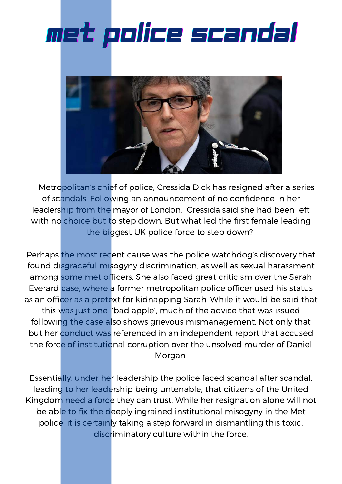## met police scandal



Metropolitan's chief of police, Cressida Dick has resigned after a series of scandals. Following an announcement of no confidence in her leadership from the mayor of London, Cressida said she had been left with no choice but to step down. But what led the first female leading the biggest UK police force to step down?

Perhaps the most recent cause was the police watchdog's discovery that found disgraceful misogyny discrimination, as well as sexual harassment among some met officers. She also faced great criticism over the Sarah Everard case, where a former metropolitan police officer used his status as an officer as a pretext for kidnapping Sarah. While it would be said that this was just one 'bad apple', much of the advice that was issued following the case also shows grievous mismanagement. Not only that but her conduct was referenced in an independent report that accused the force of institutional corruption over the unsolved murder of Daniel Morgan.

Essentially, under her leadership the police faced scandal after scandal, leading to her leadership being untenable; that citizens of the United Kingdom need a force they can trust. While her resignation alone will not be able to fix the deeply ingrained institutional misogyny in the Met police, it is certainly taking a step forward in dismantling this toxic, discriminatory culture within the force.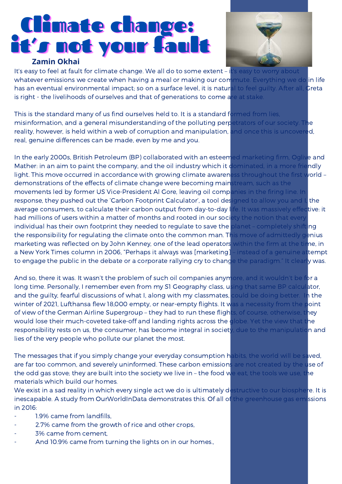## Climate change: it's not your fault

#### **Zamin Okhai**



It's easy to feel at fault for climate change. We all do to some extent - it's easy to worry about whatever emissions we create when having a meal or making our commute. Everything we do in life has an eventual environmental impact; so on a surface level, it is natural to feel guilty. After all, Greta is right - the livelihoods of ourselves and that of generations to come are at stake.

This is the standard many of us find ourselves held to. It is a standard formed from lies, misinformation, and a general misunderstanding of the polluting perpetrators of our society. The reality, however, is held within a web of corruption and manipulation, and once this is uncovered, real, genuine differences can be made, even by me and you.

In the early 2000s, British Petroleum (BP) collaborated with an esteemed marketing firm, Oglive and Mather: in an aim to paint the company, and the oil industry which it dominated, in a more friendly light. This move occurred in accordance with growing climate awareness throughout the first world – demonstrations of the effects of climate change were becoming mainstream, such as the movements led by former US Vice-President Al Gore, leaving oil companies in the firing line. In response, they pushed out the 'Carbon Footprint Calculator', a tool designed to allow you and I, the average consumers, to calculate their carbon output from day-to-day life. It was massively effective: it had millions of users within a matter of months and rooted in our society the notion that every individual has their own footprint they needed to regulate to save the planet – completely shifting the responsibility for regulating the climate onto the common man. This move of admittedly genius marketing was reflected on by John Kenney, one of the lead operators within the firm at the time, in a New York Times column in 2006, "Perhaps it always was [marketing] - instead of a genuine attempt to engage the public in the debate or a corporate rallying cry to change the paradigm." It clearly was.

And so, there it was. It wasn't the problem of such oil companies anymore, and it wouldn't be for a long time. Personally, I remember even from my S1 Geography class, using that same BP calculator, and the guilty, fearful discussions of what I, along with my classmates, could be doing better. In the winter of 2021, Lufthansa flew 18,000 empty, or near-empty flights. It was a necessity from the point of view of the German Airline Supergroup – they had to run these flights, of course, otherwise, they would lose their much-coveted take-off and landing rights across the globe. Yet the view that the responsibility rests on us, the consumer, has become integral in society, due to the manipulation and lies of the very people who pollute our planet the most.

The messages that if you simply change your everyday consumption habits, the world will be saved, are far too common, and severely uninformed. These carbon emissions are not created by the use of the odd gas stove; they are built into the society we live in - the food we eat, the tools we use, the materials which build our homes.

We exist in a sad reality in which every single act we do is ultimately destructive to our biosphere. It is inescapable. A study from OurWorldInData demonstrates this. Of all of the greenhouse gas emissions in 2016:

- 1.9% came from landfills.
- 2.7% came from the growth of rice and other crops,
- 3% came from cement,
- And 10.9% came from turning the lights on in our homes.,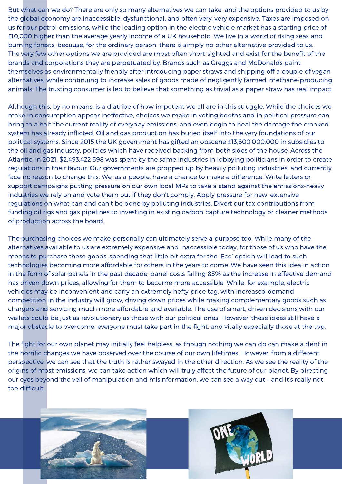But what can we do? There are only so many alternatives we can take, and the options provided to us by the global economy are inaccessible, dysfunctional, and often very, very expensive. Taxes are imposed on us for our petrol emissions, while the leading option in the electric vehicle market has a starting price of £10,000 higher than the average yearly income of a UK household. We live in a world of rising seas and burning forests; because, for the ordinary person, there is simply no other alternative provided to us. The very few other options we are provided are most often short-sighted and exist for the benefit of the brands and corporations they are perpetuated by. Brands such as Greggs and McDonalds paint themselves as environmentally friendly after introducing paper straws and shipping off a couple of vegan alternatives, while continuing to increase sales of goods made of negligently farmed, methane-producing animals. The trusting consumer is led to believe that something as trivial as a paper straw has real impact.

Although this, by no means, is a diatribe of how impotent we all are in this struggle. While the choices we make in consumption appear ineffective, choices we make in voting booths and in political pressure can bring to a halt the current reality of everyday emissions, and even begin to heal the damage the crooked system has already inflicted. Oil and gas production has buried itself into the very foundations of our political systems. Since 2015 the UK government has gifted an obscene £13,600,000,000 in subsidies to the oil and gas industry, policies which have received backing from both sides of the house. Across the Atlantic, in 2021, \$2,493,422,698 was spent by the same industries in lobbying politicians in order to create regulations in their favour. Our governments are propped up by heavily polluting industries, and currently face no reason to change this. We, as a people, have a chance to make a difference. Write letters or support campaigns putting pressure on our own local MPs to take a stand against the emissions-heavy industries we rely on and vote them out if they don't comply. Apply pressure for new, extensive regulations on what can and can't be done by polluting industries. Divert our tax contributions from funding oil rigs and gas pipelines to investing in existing carbon capture technology or cleaner methods of production across the board.

The purchasing choices we make personally can ultimately serve a purpose too. While many of the alternatives available to us are extremely expensive and inaccessible today, for those of us who have the means to purchase these goods, spending that little bit extra for the 'Eco' option will lead to such technologies becoming more affordable for others in the years to come. We have seen this idea in action in the form of solar panels in the past decade; panel costs falling 85% as the increase in effective demand has driven down prices, allowing for them to become more accessible. While, for example, electric vehicles may be inconvenient and carry an extremely hefty price tag, with increased demand competition in the industry will grow, driving down prices while making complementary goods such as chargers and servicing much more affordable and available. The use of smart, driven decisions with our wallets could be just as revolutionary as those with our political ones. However, these ideas still have a major obstacle to overcome: everyone must take part in the fight, and vitally especially those at the top.

The fight for our own planet may initially feel helpless, as though nothing we can do can make a dent in the horrific changes we have observed over the course of our own lifetimes. However, from a different perspective, we can see that the truth is rather swayed in the other direction. As we see the reality of the origins of most emissions, we can take action which will truly affect the future of our planet. By directing our eyes beyond the veil of manipulation and misinformation, we can see a way out – and it's really not too difficult.